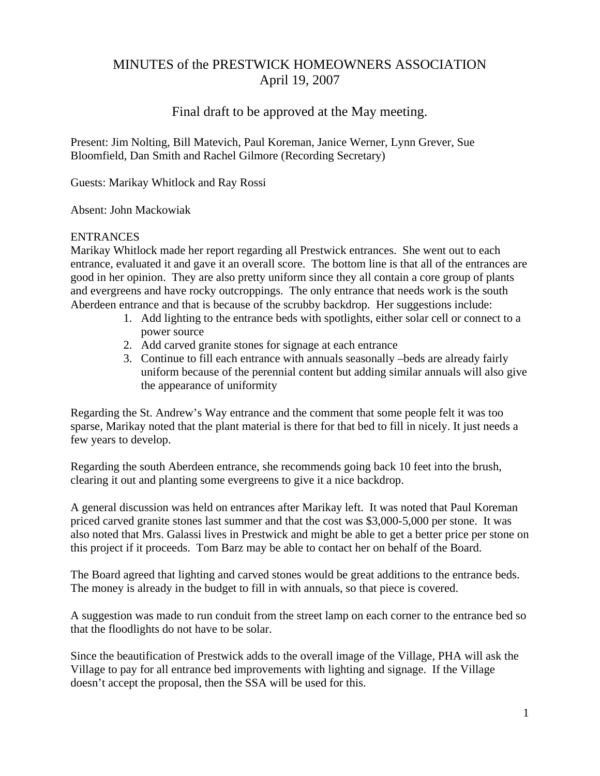# MINUTES of the PRESTWICK HOMEOWNERS ASSOCIATION April 19, 2007

# Final draft to be approved at the May meeting.

Present: Jim Nolting, Bill Matevich, Paul Koreman, Janice Werner, Lynn Grever, Sue Bloomfield, Dan Smith and Rachel Gilmore (Recording Secretary)

Guests: Marikay Whitlock and Ray Rossi

Absent: John Mackowiak

#### ENTRANCES

Marikay Whitlock made her report regarding all Prestwick entrances. She went out to each entrance, evaluated it and gave it an overall score. The bottom line is that all of the entrances are good in her opinion. They are also pretty uniform since they all contain a core group of plants and evergreens and have rocky outcroppings. The only entrance that needs work is the south Aberdeen entrance and that is because of the scrubby backdrop. Her suggestions include:

- 1. Add lighting to the entrance beds with spotlights, either solar cell or connect to a power source
- 2. Add carved granite stones for signage at each entrance
- 3. Continue to fill each entrance with annuals seasonally –beds are already fairly uniform because of the perennial content but adding similar annuals will also give the appearance of uniformity

Regarding the St. Andrew's Way entrance and the comment that some people felt it was too sparse, Marikay noted that the plant material is there for that bed to fill in nicely. It just needs a few years to develop.

Regarding the south Aberdeen entrance, she recommends going back 10 feet into the brush, clearing it out and planting some evergreens to give it a nice backdrop.

A general discussion was held on entrances after Marikay left. It was noted that Paul Koreman priced carved granite stones last summer and that the cost was \$3,000-5,000 per stone. It was also noted that Mrs. Galassi lives in Prestwick and might be able to get a better price per stone on this project if it proceeds. Tom Barz may be able to contact her on behalf of the Board.

The Board agreed that lighting and carved stones would be great additions to the entrance beds. The money is already in the budget to fill in with annuals, so that piece is covered.

A suggestion was made to run conduit from the street lamp on each corner to the entrance bed so that the floodlights do not have to be solar.

Since the beautification of Prestwick adds to the overall image of the Village, PHA will ask the Village to pay for all entrance bed improvements with lighting and signage. If the Village doesn't accept the proposal, then the SSA will be used for this.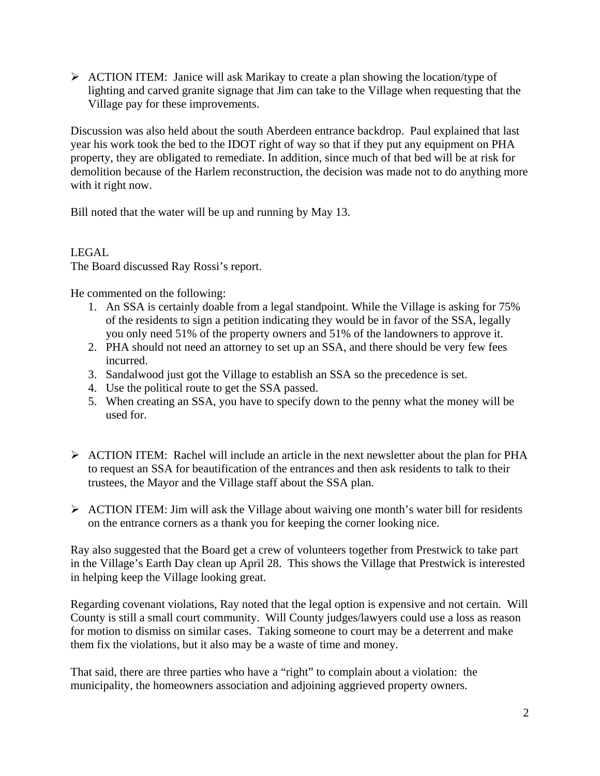$\triangleright$  ACTION ITEM: Janice will ask Marikay to create a plan showing the location/type of lighting and carved granite signage that Jim can take to the Village when requesting that the Village pay for these improvements.

Discussion was also held about the south Aberdeen entrance backdrop. Paul explained that last year his work took the bed to the IDOT right of way so that if they put any equipment on PHA property, they are obligated to remediate. In addition, since much of that bed will be at risk for demolition because of the Harlem reconstruction, the decision was made not to do anything more with it right now.

Bill noted that the water will be up and running by May 13.

## LEGAL

The Board discussed Ray Rossi's report.

He commented on the following:

- 1. An SSA is certainly doable from a legal standpoint. While the Village is asking for 75% of the residents to sign a petition indicating they would be in favor of the SSA, legally you only need 51% of the property owners and 51% of the landowners to approve it.
- 2. PHA should not need an attorney to set up an SSA, and there should be very few fees incurred.
- 3. Sandalwood just got the Village to establish an SSA so the precedence is set.
- 4. Use the political route to get the SSA passed.
- 5. When creating an SSA, you have to specify down to the penny what the money will be used for.
- $\triangleright$  ACTION ITEM: Rachel will include an article in the next newsletter about the plan for PHA to request an SSA for beautification of the entrances and then ask residents to talk to their trustees, the Mayor and the Village staff about the SSA plan.
- $\triangleright$  ACTION ITEM: Jim will ask the Village about waiving one month's water bill for residents on the entrance corners as a thank you for keeping the corner looking nice.

Ray also suggested that the Board get a crew of volunteers together from Prestwick to take part in the Village's Earth Day clean up April 28. This shows the Village that Prestwick is interested in helping keep the Village looking great.

Regarding covenant violations, Ray noted that the legal option is expensive and not certain. Will County is still a small court community. Will County judges/lawyers could use a loss as reason for motion to dismiss on similar cases. Taking someone to court may be a deterrent and make them fix the violations, but it also may be a waste of time and money.

That said, there are three parties who have a "right" to complain about a violation: the municipality, the homeowners association and adjoining aggrieved property owners.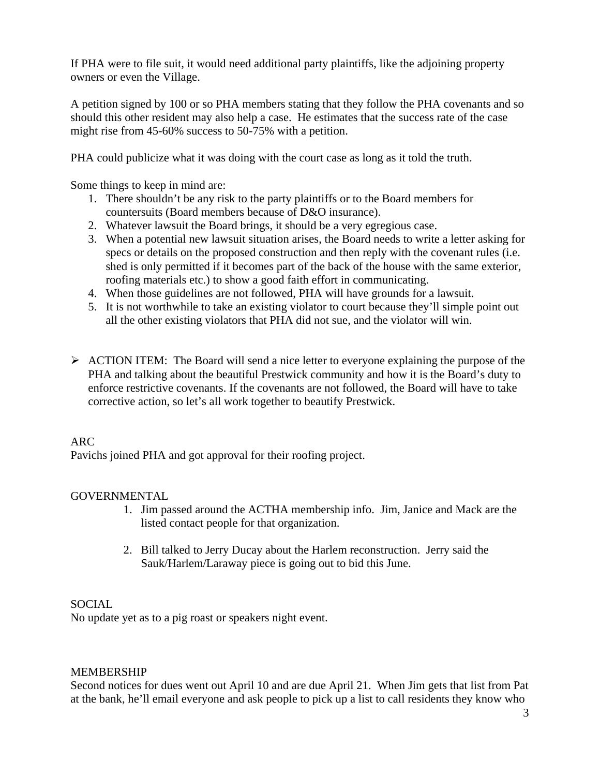If PHA were to file suit, it would need additional party plaintiffs, like the adjoining property owners or even the Village.

A petition signed by 100 or so PHA members stating that they follow the PHA covenants and so should this other resident may also help a case. He estimates that the success rate of the case might rise from 45-60% success to 50-75% with a petition.

PHA could publicize what it was doing with the court case as long as it told the truth.

Some things to keep in mind are:

- 1. There shouldn't be any risk to the party plaintiffs or to the Board members for countersuits (Board members because of D&O insurance).
- 2. Whatever lawsuit the Board brings, it should be a very egregious case.
- 3. When a potential new lawsuit situation arises, the Board needs to write a letter asking for specs or details on the proposed construction and then reply with the covenant rules (i.e. shed is only permitted if it becomes part of the back of the house with the same exterior, roofing materials etc.) to show a good faith effort in communicating.
- 4. When those guidelines are not followed, PHA will have grounds for a lawsuit.
- 5. It is not worthwhile to take an existing violator to court because they'll simple point out all the other existing violators that PHA did not sue, and the violator will win.
- ¾ ACTION ITEM: The Board will send a nice letter to everyone explaining the purpose of the PHA and talking about the beautiful Prestwick community and how it is the Board's duty to enforce restrictive covenants. If the covenants are not followed, the Board will have to take corrective action, so let's all work together to beautify Prestwick.

#### ARC

Pavichs joined PHA and got approval for their roofing project.

#### **GOVERNMENTAL**

- 1. Jim passed around the ACTHA membership info. Jim, Janice and Mack are the listed contact people for that organization.
- 2. Bill talked to Jerry Ducay about the Harlem reconstruction. Jerry said the Sauk/Harlem/Laraway piece is going out to bid this June.

#### **SOCIAL**

No update yet as to a pig roast or speakers night event.

#### MEMBERSHIP

Second notices for dues went out April 10 and are due April 21. When Jim gets that list from Pat at the bank, he'll email everyone and ask people to pick up a list to call residents they know who